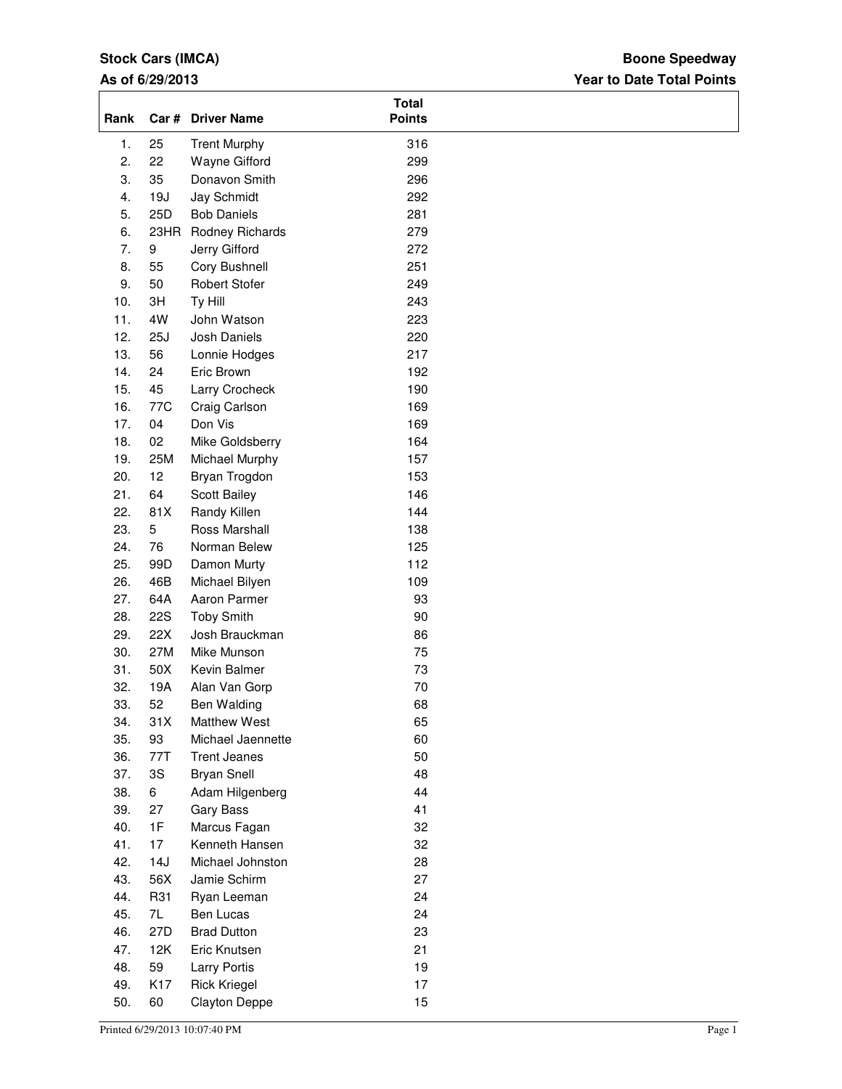# **Stock Cars (IMCA)**

## **As of 6/29/2013**

## **Year to Date Total Points Boone Speedway**

| 25<br><b>Trent Murphy</b><br>316<br>1.<br>2.<br>22<br>299<br>Wayne Gifford<br>3.<br>35<br>Donavon Smith<br>296<br>292<br>4.<br>19J<br>Jay Schmidt<br>5.<br>25D<br><b>Bob Daniels</b><br>281<br>279<br>6.<br>23HR Rodney Richards<br>272<br>7.<br>9<br>Jerry Gifford<br>8.<br>55<br>251<br>Cory Bushnell<br>9.<br>50<br>249<br><b>Robert Stofer</b><br>10.<br>3H<br>Ty Hill<br>243<br>11.<br>4W<br>223<br>John Watson<br>12.<br>25J<br>Josh Daniels<br>220<br>13.<br>56<br>217<br>Lonnie Hodges<br>14.<br>24<br>Eric Brown<br>192<br>15.<br>45<br>190<br>Larry Crocheck<br>16.<br>77C<br>Craig Carlson<br>169<br>17.<br>169<br>04<br>Don Vis<br>18.<br>02<br>Mike Goldsberry<br>164<br>19.<br>25M<br>Michael Murphy<br>157<br>20.<br>12<br>Bryan Trogdon<br>153<br>21.<br>64<br>Scott Bailey<br>146<br>22.<br>81X<br>Randy Killen<br>144<br>23.<br>5<br>Ross Marshall<br>138<br>24.<br>76<br>125<br>Norman Belew<br>25.<br>99D<br>Damon Murty<br>112<br>26.<br>109<br>46B<br>Michael Bilyen<br>27.<br>64A<br>Aaron Parmer<br>93<br>28.<br><b>22S</b><br><b>Toby Smith</b><br>90<br>29.<br>22X<br>Josh Brauckman<br>86<br>30.<br>27M<br>75<br>Mike Munson<br>31.<br>50X<br>Kevin Balmer<br>73<br>32.<br>19A<br>70<br>Alan Van Gorp<br>33.<br>52<br>68<br>Ben Walding<br>31X<br>65<br>34.<br><b>Matthew West</b><br>35.<br>93<br>60<br>Michael Jaennette<br>36.<br>50<br>77T<br><b>Trent Jeanes</b><br>37.<br>3S<br>48<br><b>Bryan Snell</b><br>44<br>38.<br>6<br>Adam Hilgenberg<br>39.<br>41<br>27<br>Gary Bass<br>40.<br>1F<br>32<br>Marcus Fagan<br>41.<br>17<br>Kenneth Hansen<br>32<br>42.<br>28<br>14J<br>Michael Johnston<br>43.<br>56X<br>Jamie Schirm<br>27<br>44.<br>24<br>R31<br>Ryan Leeman<br>45.<br>7L<br>Ben Lucas<br>24<br>46.<br>27D<br>23<br><b>Brad Dutton</b><br>21<br>47.<br>12K<br>Eric Knutsen<br>48.<br>59<br>19<br><b>Larry Portis</b><br>49.<br>K17<br><b>Rick Kriegel</b><br>17<br>50.<br>15<br>60<br><b>Clayton Deppe</b> | Rank | Car # Driver Name | <b>Total</b><br><b>Points</b> |  |
|-----------------------------------------------------------------------------------------------------------------------------------------------------------------------------------------------------------------------------------------------------------------------------------------------------------------------------------------------------------------------------------------------------------------------------------------------------------------------------------------------------------------------------------------------------------------------------------------------------------------------------------------------------------------------------------------------------------------------------------------------------------------------------------------------------------------------------------------------------------------------------------------------------------------------------------------------------------------------------------------------------------------------------------------------------------------------------------------------------------------------------------------------------------------------------------------------------------------------------------------------------------------------------------------------------------------------------------------------------------------------------------------------------------------------------------------------------------------------------------------------------------------------------------------------------------------------------------------------------------------------------------------------------------------------------------------------------------------------------------------------------------------------------------------------------------------------------------------------------------------------------------------------------------------------------------------------------|------|-------------------|-------------------------------|--|
|                                                                                                                                                                                                                                                                                                                                                                                                                                                                                                                                                                                                                                                                                                                                                                                                                                                                                                                                                                                                                                                                                                                                                                                                                                                                                                                                                                                                                                                                                                                                                                                                                                                                                                                                                                                                                                                                                                                                                     |      |                   |                               |  |
|                                                                                                                                                                                                                                                                                                                                                                                                                                                                                                                                                                                                                                                                                                                                                                                                                                                                                                                                                                                                                                                                                                                                                                                                                                                                                                                                                                                                                                                                                                                                                                                                                                                                                                                                                                                                                                                                                                                                                     |      |                   |                               |  |
|                                                                                                                                                                                                                                                                                                                                                                                                                                                                                                                                                                                                                                                                                                                                                                                                                                                                                                                                                                                                                                                                                                                                                                                                                                                                                                                                                                                                                                                                                                                                                                                                                                                                                                                                                                                                                                                                                                                                                     |      |                   |                               |  |
|                                                                                                                                                                                                                                                                                                                                                                                                                                                                                                                                                                                                                                                                                                                                                                                                                                                                                                                                                                                                                                                                                                                                                                                                                                                                                                                                                                                                                                                                                                                                                                                                                                                                                                                                                                                                                                                                                                                                                     |      |                   |                               |  |
|                                                                                                                                                                                                                                                                                                                                                                                                                                                                                                                                                                                                                                                                                                                                                                                                                                                                                                                                                                                                                                                                                                                                                                                                                                                                                                                                                                                                                                                                                                                                                                                                                                                                                                                                                                                                                                                                                                                                                     |      |                   |                               |  |
|                                                                                                                                                                                                                                                                                                                                                                                                                                                                                                                                                                                                                                                                                                                                                                                                                                                                                                                                                                                                                                                                                                                                                                                                                                                                                                                                                                                                                                                                                                                                                                                                                                                                                                                                                                                                                                                                                                                                                     |      |                   |                               |  |
|                                                                                                                                                                                                                                                                                                                                                                                                                                                                                                                                                                                                                                                                                                                                                                                                                                                                                                                                                                                                                                                                                                                                                                                                                                                                                                                                                                                                                                                                                                                                                                                                                                                                                                                                                                                                                                                                                                                                                     |      |                   |                               |  |
|                                                                                                                                                                                                                                                                                                                                                                                                                                                                                                                                                                                                                                                                                                                                                                                                                                                                                                                                                                                                                                                                                                                                                                                                                                                                                                                                                                                                                                                                                                                                                                                                                                                                                                                                                                                                                                                                                                                                                     |      |                   |                               |  |
|                                                                                                                                                                                                                                                                                                                                                                                                                                                                                                                                                                                                                                                                                                                                                                                                                                                                                                                                                                                                                                                                                                                                                                                                                                                                                                                                                                                                                                                                                                                                                                                                                                                                                                                                                                                                                                                                                                                                                     |      |                   |                               |  |
|                                                                                                                                                                                                                                                                                                                                                                                                                                                                                                                                                                                                                                                                                                                                                                                                                                                                                                                                                                                                                                                                                                                                                                                                                                                                                                                                                                                                                                                                                                                                                                                                                                                                                                                                                                                                                                                                                                                                                     |      |                   |                               |  |
|                                                                                                                                                                                                                                                                                                                                                                                                                                                                                                                                                                                                                                                                                                                                                                                                                                                                                                                                                                                                                                                                                                                                                                                                                                                                                                                                                                                                                                                                                                                                                                                                                                                                                                                                                                                                                                                                                                                                                     |      |                   |                               |  |
|                                                                                                                                                                                                                                                                                                                                                                                                                                                                                                                                                                                                                                                                                                                                                                                                                                                                                                                                                                                                                                                                                                                                                                                                                                                                                                                                                                                                                                                                                                                                                                                                                                                                                                                                                                                                                                                                                                                                                     |      |                   |                               |  |
|                                                                                                                                                                                                                                                                                                                                                                                                                                                                                                                                                                                                                                                                                                                                                                                                                                                                                                                                                                                                                                                                                                                                                                                                                                                                                                                                                                                                                                                                                                                                                                                                                                                                                                                                                                                                                                                                                                                                                     |      |                   |                               |  |
|                                                                                                                                                                                                                                                                                                                                                                                                                                                                                                                                                                                                                                                                                                                                                                                                                                                                                                                                                                                                                                                                                                                                                                                                                                                                                                                                                                                                                                                                                                                                                                                                                                                                                                                                                                                                                                                                                                                                                     |      |                   |                               |  |
|                                                                                                                                                                                                                                                                                                                                                                                                                                                                                                                                                                                                                                                                                                                                                                                                                                                                                                                                                                                                                                                                                                                                                                                                                                                                                                                                                                                                                                                                                                                                                                                                                                                                                                                                                                                                                                                                                                                                                     |      |                   |                               |  |
|                                                                                                                                                                                                                                                                                                                                                                                                                                                                                                                                                                                                                                                                                                                                                                                                                                                                                                                                                                                                                                                                                                                                                                                                                                                                                                                                                                                                                                                                                                                                                                                                                                                                                                                                                                                                                                                                                                                                                     |      |                   |                               |  |
|                                                                                                                                                                                                                                                                                                                                                                                                                                                                                                                                                                                                                                                                                                                                                                                                                                                                                                                                                                                                                                                                                                                                                                                                                                                                                                                                                                                                                                                                                                                                                                                                                                                                                                                                                                                                                                                                                                                                                     |      |                   |                               |  |
|                                                                                                                                                                                                                                                                                                                                                                                                                                                                                                                                                                                                                                                                                                                                                                                                                                                                                                                                                                                                                                                                                                                                                                                                                                                                                                                                                                                                                                                                                                                                                                                                                                                                                                                                                                                                                                                                                                                                                     |      |                   |                               |  |
|                                                                                                                                                                                                                                                                                                                                                                                                                                                                                                                                                                                                                                                                                                                                                                                                                                                                                                                                                                                                                                                                                                                                                                                                                                                                                                                                                                                                                                                                                                                                                                                                                                                                                                                                                                                                                                                                                                                                                     |      |                   |                               |  |
|                                                                                                                                                                                                                                                                                                                                                                                                                                                                                                                                                                                                                                                                                                                                                                                                                                                                                                                                                                                                                                                                                                                                                                                                                                                                                                                                                                                                                                                                                                                                                                                                                                                                                                                                                                                                                                                                                                                                                     |      |                   |                               |  |
|                                                                                                                                                                                                                                                                                                                                                                                                                                                                                                                                                                                                                                                                                                                                                                                                                                                                                                                                                                                                                                                                                                                                                                                                                                                                                                                                                                                                                                                                                                                                                                                                                                                                                                                                                                                                                                                                                                                                                     |      |                   |                               |  |
|                                                                                                                                                                                                                                                                                                                                                                                                                                                                                                                                                                                                                                                                                                                                                                                                                                                                                                                                                                                                                                                                                                                                                                                                                                                                                                                                                                                                                                                                                                                                                                                                                                                                                                                                                                                                                                                                                                                                                     |      |                   |                               |  |
|                                                                                                                                                                                                                                                                                                                                                                                                                                                                                                                                                                                                                                                                                                                                                                                                                                                                                                                                                                                                                                                                                                                                                                                                                                                                                                                                                                                                                                                                                                                                                                                                                                                                                                                                                                                                                                                                                                                                                     |      |                   |                               |  |
|                                                                                                                                                                                                                                                                                                                                                                                                                                                                                                                                                                                                                                                                                                                                                                                                                                                                                                                                                                                                                                                                                                                                                                                                                                                                                                                                                                                                                                                                                                                                                                                                                                                                                                                                                                                                                                                                                                                                                     |      |                   |                               |  |
|                                                                                                                                                                                                                                                                                                                                                                                                                                                                                                                                                                                                                                                                                                                                                                                                                                                                                                                                                                                                                                                                                                                                                                                                                                                                                                                                                                                                                                                                                                                                                                                                                                                                                                                                                                                                                                                                                                                                                     |      |                   |                               |  |
|                                                                                                                                                                                                                                                                                                                                                                                                                                                                                                                                                                                                                                                                                                                                                                                                                                                                                                                                                                                                                                                                                                                                                                                                                                                                                                                                                                                                                                                                                                                                                                                                                                                                                                                                                                                                                                                                                                                                                     |      |                   |                               |  |
|                                                                                                                                                                                                                                                                                                                                                                                                                                                                                                                                                                                                                                                                                                                                                                                                                                                                                                                                                                                                                                                                                                                                                                                                                                                                                                                                                                                                                                                                                                                                                                                                                                                                                                                                                                                                                                                                                                                                                     |      |                   |                               |  |
|                                                                                                                                                                                                                                                                                                                                                                                                                                                                                                                                                                                                                                                                                                                                                                                                                                                                                                                                                                                                                                                                                                                                                                                                                                                                                                                                                                                                                                                                                                                                                                                                                                                                                                                                                                                                                                                                                                                                                     |      |                   |                               |  |
|                                                                                                                                                                                                                                                                                                                                                                                                                                                                                                                                                                                                                                                                                                                                                                                                                                                                                                                                                                                                                                                                                                                                                                                                                                                                                                                                                                                                                                                                                                                                                                                                                                                                                                                                                                                                                                                                                                                                                     |      |                   |                               |  |
|                                                                                                                                                                                                                                                                                                                                                                                                                                                                                                                                                                                                                                                                                                                                                                                                                                                                                                                                                                                                                                                                                                                                                                                                                                                                                                                                                                                                                                                                                                                                                                                                                                                                                                                                                                                                                                                                                                                                                     |      |                   |                               |  |
|                                                                                                                                                                                                                                                                                                                                                                                                                                                                                                                                                                                                                                                                                                                                                                                                                                                                                                                                                                                                                                                                                                                                                                                                                                                                                                                                                                                                                                                                                                                                                                                                                                                                                                                                                                                                                                                                                                                                                     |      |                   |                               |  |
|                                                                                                                                                                                                                                                                                                                                                                                                                                                                                                                                                                                                                                                                                                                                                                                                                                                                                                                                                                                                                                                                                                                                                                                                                                                                                                                                                                                                                                                                                                                                                                                                                                                                                                                                                                                                                                                                                                                                                     |      |                   |                               |  |
|                                                                                                                                                                                                                                                                                                                                                                                                                                                                                                                                                                                                                                                                                                                                                                                                                                                                                                                                                                                                                                                                                                                                                                                                                                                                                                                                                                                                                                                                                                                                                                                                                                                                                                                                                                                                                                                                                                                                                     |      |                   |                               |  |
|                                                                                                                                                                                                                                                                                                                                                                                                                                                                                                                                                                                                                                                                                                                                                                                                                                                                                                                                                                                                                                                                                                                                                                                                                                                                                                                                                                                                                                                                                                                                                                                                                                                                                                                                                                                                                                                                                                                                                     |      |                   |                               |  |
|                                                                                                                                                                                                                                                                                                                                                                                                                                                                                                                                                                                                                                                                                                                                                                                                                                                                                                                                                                                                                                                                                                                                                                                                                                                                                                                                                                                                                                                                                                                                                                                                                                                                                                                                                                                                                                                                                                                                                     |      |                   |                               |  |
|                                                                                                                                                                                                                                                                                                                                                                                                                                                                                                                                                                                                                                                                                                                                                                                                                                                                                                                                                                                                                                                                                                                                                                                                                                                                                                                                                                                                                                                                                                                                                                                                                                                                                                                                                                                                                                                                                                                                                     |      |                   |                               |  |
|                                                                                                                                                                                                                                                                                                                                                                                                                                                                                                                                                                                                                                                                                                                                                                                                                                                                                                                                                                                                                                                                                                                                                                                                                                                                                                                                                                                                                                                                                                                                                                                                                                                                                                                                                                                                                                                                                                                                                     |      |                   |                               |  |
|                                                                                                                                                                                                                                                                                                                                                                                                                                                                                                                                                                                                                                                                                                                                                                                                                                                                                                                                                                                                                                                                                                                                                                                                                                                                                                                                                                                                                                                                                                                                                                                                                                                                                                                                                                                                                                                                                                                                                     |      |                   |                               |  |
|                                                                                                                                                                                                                                                                                                                                                                                                                                                                                                                                                                                                                                                                                                                                                                                                                                                                                                                                                                                                                                                                                                                                                                                                                                                                                                                                                                                                                                                                                                                                                                                                                                                                                                                                                                                                                                                                                                                                                     |      |                   |                               |  |
|                                                                                                                                                                                                                                                                                                                                                                                                                                                                                                                                                                                                                                                                                                                                                                                                                                                                                                                                                                                                                                                                                                                                                                                                                                                                                                                                                                                                                                                                                                                                                                                                                                                                                                                                                                                                                                                                                                                                                     |      |                   |                               |  |
|                                                                                                                                                                                                                                                                                                                                                                                                                                                                                                                                                                                                                                                                                                                                                                                                                                                                                                                                                                                                                                                                                                                                                                                                                                                                                                                                                                                                                                                                                                                                                                                                                                                                                                                                                                                                                                                                                                                                                     |      |                   |                               |  |
|                                                                                                                                                                                                                                                                                                                                                                                                                                                                                                                                                                                                                                                                                                                                                                                                                                                                                                                                                                                                                                                                                                                                                                                                                                                                                                                                                                                                                                                                                                                                                                                                                                                                                                                                                                                                                                                                                                                                                     |      |                   |                               |  |
|                                                                                                                                                                                                                                                                                                                                                                                                                                                                                                                                                                                                                                                                                                                                                                                                                                                                                                                                                                                                                                                                                                                                                                                                                                                                                                                                                                                                                                                                                                                                                                                                                                                                                                                                                                                                                                                                                                                                                     |      |                   |                               |  |
|                                                                                                                                                                                                                                                                                                                                                                                                                                                                                                                                                                                                                                                                                                                                                                                                                                                                                                                                                                                                                                                                                                                                                                                                                                                                                                                                                                                                                                                                                                                                                                                                                                                                                                                                                                                                                                                                                                                                                     |      |                   |                               |  |
|                                                                                                                                                                                                                                                                                                                                                                                                                                                                                                                                                                                                                                                                                                                                                                                                                                                                                                                                                                                                                                                                                                                                                                                                                                                                                                                                                                                                                                                                                                                                                                                                                                                                                                                                                                                                                                                                                                                                                     |      |                   |                               |  |
|                                                                                                                                                                                                                                                                                                                                                                                                                                                                                                                                                                                                                                                                                                                                                                                                                                                                                                                                                                                                                                                                                                                                                                                                                                                                                                                                                                                                                                                                                                                                                                                                                                                                                                                                                                                                                                                                                                                                                     |      |                   |                               |  |
|                                                                                                                                                                                                                                                                                                                                                                                                                                                                                                                                                                                                                                                                                                                                                                                                                                                                                                                                                                                                                                                                                                                                                                                                                                                                                                                                                                                                                                                                                                                                                                                                                                                                                                                                                                                                                                                                                                                                                     |      |                   |                               |  |
|                                                                                                                                                                                                                                                                                                                                                                                                                                                                                                                                                                                                                                                                                                                                                                                                                                                                                                                                                                                                                                                                                                                                                                                                                                                                                                                                                                                                                                                                                                                                                                                                                                                                                                                                                                                                                                                                                                                                                     |      |                   |                               |  |
|                                                                                                                                                                                                                                                                                                                                                                                                                                                                                                                                                                                                                                                                                                                                                                                                                                                                                                                                                                                                                                                                                                                                                                                                                                                                                                                                                                                                                                                                                                                                                                                                                                                                                                                                                                                                                                                                                                                                                     |      |                   |                               |  |